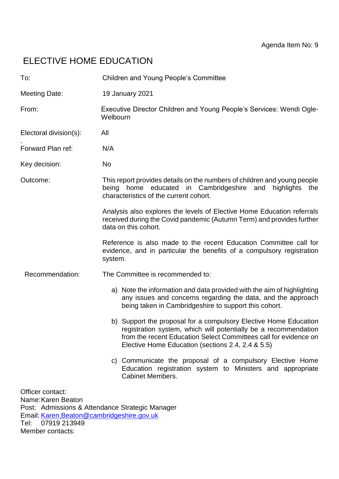# ELECTIVE HOME EDUCATION

| To:                                    | <b>Children and Young People's Committee</b>                                                                                                                                                                                                                 |
|----------------------------------------|--------------------------------------------------------------------------------------------------------------------------------------------------------------------------------------------------------------------------------------------------------------|
| <b>Meeting Date:</b>                   | 19 January 2021                                                                                                                                                                                                                                              |
| From:                                  | Executive Director Children and Young People's Services: Wendi Ogle-<br>Welbourn                                                                                                                                                                             |
| Electoral division(s):                 | All                                                                                                                                                                                                                                                          |
| Forward Plan ref:                      | N/A                                                                                                                                                                                                                                                          |
| Key decision:                          | <b>No</b>                                                                                                                                                                                                                                                    |
| Outcome:                               | This report provides details on the numbers of children and young people<br>being home educated in Cambridgeshire and<br>highlights<br>the<br>characteristics of the current cohort.                                                                         |
|                                        | Analysis also explores the levels of Elective Home Education referrals<br>received during the Covid pandemic (Autumn Term) and provides further<br>data on this cohort.                                                                                      |
|                                        | Reference is also made to the recent Education Committee call for<br>evidence, and in particular the benefits of a compulsory registration<br>system.                                                                                                        |
| Recommendation:                        | The Committee is recommended to:                                                                                                                                                                                                                             |
|                                        | a) Note the information and data provided with the aim of highlighting<br>any issues and concerns regarding the data, and the approach<br>being taken in Cambridgeshire to support this cohort.                                                              |
|                                        | b) Support the proposal for a compulsory Elective Home Education<br>registration system, which will potentially be a recommendation<br>from the recent Education Select Committees call for evidence on<br>Elective Home Education (sections 2.4, 2.4 & 5.5) |
|                                        | c) Communicate the proposal of a compulsory Elective Home<br>Education registration system to Ministers and appropriate<br><b>Cabinet Members.</b>                                                                                                           |
| Officer contact:<br>Name: Karen Beaton |                                                                                                                                                                                                                                                              |

Post: Admissions & Attendance Strategic Manager Email: [Karen.Beaton@cambridgeshire.gov.uk](mailto:Karen.Beaton@cambridgeshire.gov.uk) Tel: 07919 213949

Member contacts: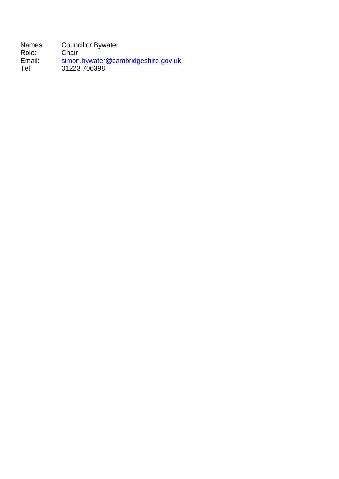Names: Councillor Bywater<br>Role: Chair Role:<br>Email: Email: [simon.bywater@cambridgeshire.gov.uk](mailto:simon.bywater@cambridgeshire.gov.uk) Tel: 01223 706398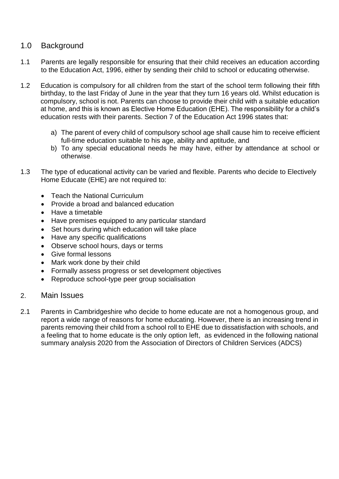# 1.0 Background

- 1.1 Parents are legally responsible for ensuring that their child receives an education according to the Education Act, 1996, either by sending their child to school or educating otherwise.
- 1.2 Education is compulsory for all children from the start of the school term following their fifth birthday, to the last Friday of June in the year that they turn 16 years old. Whilst education is compulsory, school is not. Parents can choose to provide their child with a suitable education at home, and this is known as Elective Home Education (EHE). The responsibility for a child's education rests with their parents. Section 7 of the Education Act 1996 states that:
	- a) The parent of every child of compulsory school age shall cause him to receive efficient full-time education suitable to his age, ability and aptitude, and
	- b) To any special educational needs he may have, either by attendance at school or otherwise.
- 1.3 The type of educational activity can be varied and flexible. Parents who decide to Electively Home Educate (EHE) are not required to:
	- Teach the National Curriculum
	- Provide a broad and balanced education
	- Have a timetable
	- Have premises equipped to any particular standard
	- Set hours during which education will take place
	- Have any specific qualifications
	- Observe school hours, days or terms
	- **Give formal lessons**
	- Mark work done by their child
	- Formally assess progress or set development objectives
	- Reproduce school-type peer group socialisation
- 2. Main Issues
- 2.1 Parents in Cambridgeshire who decide to home educate are not a homogenous group, and report a wide range of reasons for home educating. However, there is an increasing trend in parents removing their child from a school roll to EHE due to dissatisfaction with schools, and a feeling that to home educate is the only option left, as evidenced in the following national summary analysis 2020 from the Association of Directors of Children Services (ADCS)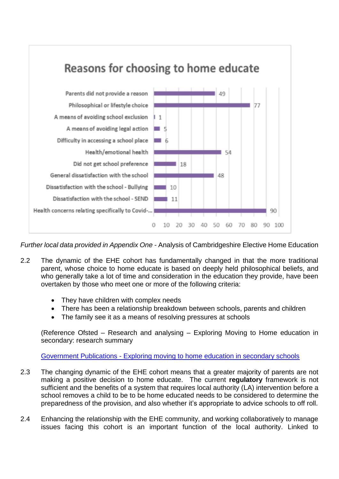

*Further local data provided in Appendix One* - Analysis of Cambridgeshire Elective Home Education

- 2.2 The dynamic of the EHE cohort has fundamentally changed in that the more traditional parent, whose choice to home educate is based on deeply held philosophical beliefs, and who generally take a lot of time and consideration in the education they provide, have been overtaken by those who meet one or more of the following criteria:
	- They have children with complex needs
	- There has been a relationship breakdown between schools, parents and children
	- The family see it as a means of resolving pressures at schools

(Reference Ofsted – Research and analysing – Exploring Moving to Home education in secondary: research summary

Government Publications - [Exploring moving to home education in secondary schools](https://www.gov.uk/government/publications/exploring-moving-to-home-education-in-secondary-schools)

- 2.3 The changing dynamic of the EHE cohort means that a greater majority of parents are not making a positive decision to home educate. The current **regulatory** framework is not sufficient and the benefits of a system that requires local authority (LA) intervention before a school removes a child to be to be home educated needs to be considered to determine the preparedness of the provision, and also whether it's appropriate to advice schools to off roll.
- 2.4 Enhancing the relationship with the EHE community, and working collaboratively to manage issues facing this cohort is an important function of the local authority. Linked to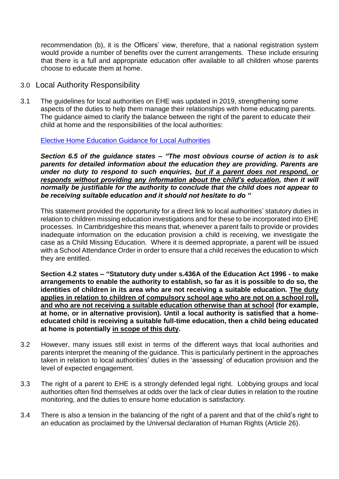recommendation (b), it is the Officers' view, therefore, that a national registration system would provide a number of benefits over the current arrangements. These include ensuring that there is a full and appropriate education offer available to all children whose parents choose to educate them at home.

- 3.0 Local Authority Responsibility
- 3.1 The guidelines for local authorities on EHE was updated in 2019, strengthening some aspects of the duties to help them manage their relationships with home educating parents. The guidance aimed to clarify the balance between the right of the parent to educate their child at home and the responsibilities of the local authorities:

[Elective Home Education Guidance for Local Authorities](https://assets.publishing.service.gov.uk/government/uploads/system/uploads/attachment_data/file/791527/Elective_home_education_gudiance_for_LAv2.0.pdf) 

*Section 6.5 of the guidance states – "The most obvious course of action is to ask parents for detailed information about the education they are providing. Parents are under no duty to respond to such enquiries, but if a parent does not respond, or responds without providing any information about the child's education, then it will normally be justifiable for the authority to conclude that the child does not appear to be receiving suitable education and it should not hesitate to do "*

This statement provided the opportunity for a direct link to local authorities' statutory duties in relation to children missing education investigations and for these to be incorporated into EHE processes. In Cambridgeshire this means that, whenever a parent fails to provide or provides inadequate information on the education provision a child is receiving, we investigate the case as a Child Missing Education. Where it is deemed appropriate, a parent will be issued with a School Attendance Order in order to ensure that a child receives the education to which they are entitled.

**Section 4.2 states – "Statutory duty under s.436A of the Education Act 1996 - to make arrangements to enable the authority to establish, so far as it is possible to do so, the identities of children in its area who are not receiving a suitable education. The duty applies in relation to children of compulsory school age who are not on a school roll, and who are not receiving a suitable education otherwise than at school (for example, at home, or in alternative provision). Until a local authority is satisfied that a homeeducated child is receiving a suitable full-time education, then a child being educated at home is potentially in scope of this duty.** 

- 3.2 However, many issues still exist in terms of the different ways that local authorities and parents interpret the meaning of the guidance. This is particularly pertinent in the approaches taken in relation to local authorities' duties in the 'assessing' of education provision and the level of expected engagement.
- 3.3 The right of a parent to EHE is a strongly defended legal right. Lobbying groups and local authorities often find themselves at odds over the lack of clear duties in relation to the routine monitoring, and the duties to ensure home education is satisfactory.
- 3.4 There is also a tension in the balancing of the right of a parent and that of the child's right to an education as proclaimed by the Universal declaration of Human Rights (Article 26).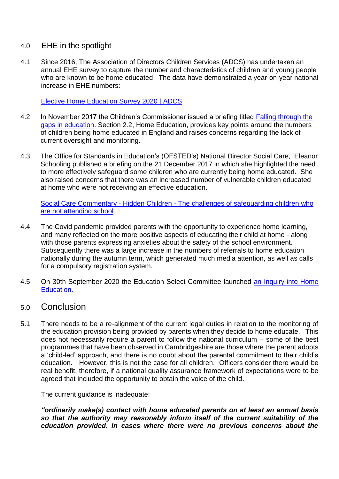# 4.0 EHE in the spotlight

4.1 Since 2016, The Association of Directors Children Services (ADCS) has undertaken an annual EHE survey to capture the number and characteristics of children and young people who are known to be home educated. The data have demonstrated a year-on-year national increase in EHE numbers:

[Elective Home Education Survey 2020 | ADCS](https://adcs.org.uk/education/article/elective-home-education-survey-2020)

- 4.2 In November 2017 the Children's Commissioner issued a briefing titled Falling through the [gaps in education.](https://www.childrenscommissioner.gov.uk/publication/briefing-falling-through-the-gaps-in-education/) Section 2.2, Home Education, provides key points around the numbers of children being home educated in England and raises concerns regarding the lack of current oversight and monitoring.
- 4.3 The Office for Standards in Education's (OFSTED's) National Director Social Care, Eleanor Schooling published a briefing on the 21 December 2017 in which she highlighted the need to more effectively safeguard some children who are currently being home educated. She also raised concerns that there was an increased number of vulnerable children educated at home who were not receiving an effective education.

Social Care Commentary - Hidden Children - [The challenges of safeguarding children who](https://www.gov.uk/government/speeches/social-care-commentary-hidden-children-the-challenges-of-safeguarding-children-who-are-not-attending-school)  [are not attending school](https://www.gov.uk/government/speeches/social-care-commentary-hidden-children-the-challenges-of-safeguarding-children-who-are-not-attending-school)

- 4.4 The Covid pandemic provided parents with the opportunity to experience home learning, and many reflected on the more positive aspects of educating their child at home - along with those parents expressing anxieties about the safety of the school environment. Subsequently there was a large increase in the numbers of referrals to home education nationally during the autumn term, which generated much media attention, as well as calls for a compulsory registration system.
- 4.5 On 30th September 2020 the Education Select Committee launched [an Inquiry into Home](https://committees.parliament.uk/committee/203/education-committee/news/119651/education-committee-launch-home-education-inquiry/)  [Education.](https://committees.parliament.uk/committee/203/education-committee/news/119651/education-committee-launch-home-education-inquiry/)

# 5.0 Conclusion

5.1 There needs to be a re-alignment of the current legal duties in relation to the monitoring of the education provision being provided by parents when they decide to home educate. This does not necessarily require a parent to follow the national curriculum – some of the best programmes that have been observed in Cambridgeshire are those where the parent adopts a 'child-led' approach, and there is no doubt about the parental commitment to their child's education. However, this is not the case for all children. Officers consider there would be real benefit, therefore, if a national quality assurance framework of expectations were to be agreed that included the opportunity to obtain the voice of the child.

The current guidance is inadequate:

*"ordinarily make(s) contact with home educated parents on at least an annual basis so that the authority may reasonably inform itself of the current suitability of the education provided. In cases where there were no previous concerns about the*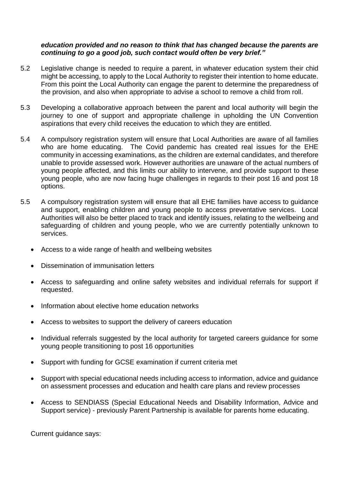#### *education provided and no reason to think that has changed because the parents are continuing to go a good job, such contact would often be very brief."*

- 5.2 Legislative change is needed to require a parent, in whatever education system their chid might be accessing, to apply to the Local Authority to register their intention to home educate. From this point the Local Authority can engage the parent to determine the preparedness of the provision, and also when appropriate to advise a school to remove a child from roll.
- 5.3 Developing a collaborative approach between the parent and local authority will begin the journey to one of support and appropriate challenge in upholding the UN Convention aspirations that every child receives the education to which they are entitled.
- 5.4 A compulsory registration system will ensure that Local Authorities are aware of all families who are home educating. The Covid pandemic has created real issues for the EHE community in accessing examinations, as the children are external candidates, and therefore unable to provide assessed work. However authorities are unaware of the actual numbers of young people affected, and this limits our ability to intervene, and provide support to these young people, who are now facing huge challenges in regards to their post 16 and post 18 options.
- 5.5 A compulsory registration system will ensure that all EHE families have access to guidance and support, enabling children and young people to access preventative services. Local Authorities will also be better placed to track and identify issues, relating to the wellbeing and safeguarding of children and young people, who we are currently potentially unknown to services.
	- Access to a wide range of health and wellbeing websites
	- Dissemination of immunisation letters
	- Access to safeguarding and online safety websites and individual referrals for support if requested.
	- Information about elective home education networks
	- Access to websites to support the delivery of careers education
	- Individual referrals suggested by the local authority for targeted careers guidance for some young people transitioning to post 16 opportunities
	- Support with funding for GCSE examination if current criteria met
	- Support with special educational needs including access to information, advice and guidance on assessment processes and education and health care plans and review processes
	- Access to SENDIASS (Special Educational Needs and Disability Information, Advice and Support service) - previously Parent Partnership is available for parents home educating.

Current guidance says: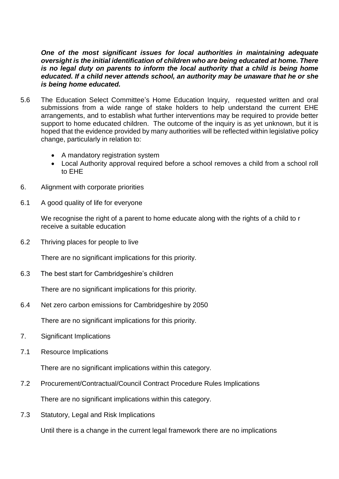*One of the most significant issues for local authorities in maintaining adequate oversight is the initial identification of children who are being educated at home. There is no legal duty on parents to inform the local authority that a child is being home educated. If a child never attends school, an authority may be unaware that he or she is being home educated.*

- 5.6 The Education Select Committee's Home Education Inquiry, requested written and oral submissions from a wide range of stake holders to help understand the current EHE arrangements, and to establish what further interventions may be required to provide better support to home educated children. The outcome of the inquiry is as yet unknown, but it is hoped that the evidence provided by many authorities will be reflected within legislative policy change, particularly in relation to:
	- A mandatory registration system
	- Local Authority approval required before a school removes a child from a school roll to EHE
- 6. Alignment with corporate priorities
- 6.1 A good quality of life for everyone

We recognise the right of a parent to home educate along with the rights of a child to r receive a suitable education

6.2 Thriving places for people to live

There are no significant implications for this priority.

6.3 The best start for Cambridgeshire's children

There are no significant implications for this priority.

6.4 Net zero carbon emissions for Cambridgeshire by 2050

There are no significant implications for this priority.

- 7. Significant Implications
- 7.1 Resource Implications

There are no significant implications within this category.

7.2 Procurement/Contractual/Council Contract Procedure Rules Implications

There are no significant implications within this category.

7.3 Statutory, Legal and Risk Implications

Until there is a change in the current legal framework there are no implications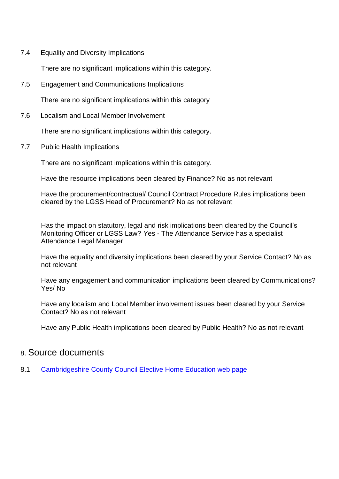7.4 Equality and Diversity Implications

There are no significant implications within this category.

7.5 Engagement and Communications Implications

There are no significant implications within this category

7.6 Localism and Local Member Involvement

There are no significant implications within this category.

7.7 Public Health Implications

There are no significant implications within this category.

Have the resource implications been cleared by Finance? No as not relevant

Have the procurement/contractual/ Council Contract Procedure Rules implications been cleared by the LGSS Head of Procurement? No as not relevant

Has the impact on statutory, legal and risk implications been cleared by the Council's Monitoring Officer or LGSS Law? Yes - The Attendance Service has a specialist Attendance Legal Manager

Have the equality and diversity implications been cleared by your Service Contact? No as not relevant

Have any engagement and communication implications been cleared by Communications? Yes/ No

Have any localism and Local Member involvement issues been cleared by your Service Contact? No as not relevant

Have any Public Health implications been cleared by Public Health? No as not relevant

# 8. Source documents

8.1 [Cambridgeshire County Council Elective Home Education web page](https://www.cambslearntogether.co.uk/services-to-schools/elective-home-education)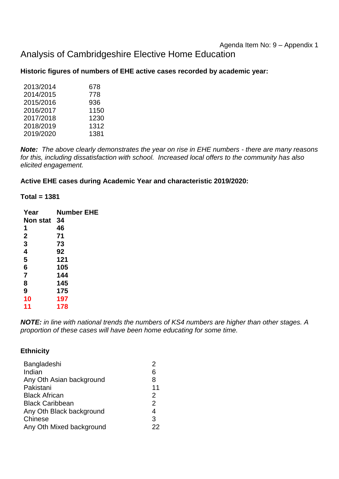# Agenda Item No: 9 – Appendix 1

# Analysis of Cambridgeshire Elective Home Education

## **Historic figures of numbers of EHE active cases recorded by academic year:**

| 2013/2014 | 678  |
|-----------|------|
| 2014/2015 | 778  |
| 2015/2016 | 936  |
| 2016/2017 | 1150 |
| 2017/2018 | 1230 |
| 2018/2019 | 1312 |
| 2019/2020 | 1381 |
|           |      |

*Note: The above clearly demonstrates the year on rise in EHE numbers - there are many reasons for this, including dissatisfaction with school. Increased local offers to the community has also elicited engagement.*

## **Active EHE cases during Academic Year and characteristic 2019/2020:**

#### **Total = 1381**

| Year           | <b>Number EHE</b> |
|----------------|-------------------|
| Non stat       | 34                |
| 1              | 46                |
| $\mathbf 2$    | 71                |
| 3              | 73                |
| 4              | 92                |
| 5              | 121               |
| 6              | 105               |
| $\overline{7}$ | 144               |
| 8              | 145               |
| 9              | 175               |
| 10             | 197               |
| 11             | 178               |

*NOTE: in line with national trends the numbers of KS4 numbers are higher than other stages. A proportion of these cases will have been home educating for some time.*

## **Ethnicity**

| Bangladeshi              | 2  |
|--------------------------|----|
| Indian                   | 6  |
| Any Oth Asian background | 8  |
| Pakistani                | 11 |
| <b>Black African</b>     | 2  |
| <b>Black Caribbean</b>   | 2  |
| Any Oth Black background | 4  |
| Chinese                  | 3  |
| Any Oth Mixed background | 22 |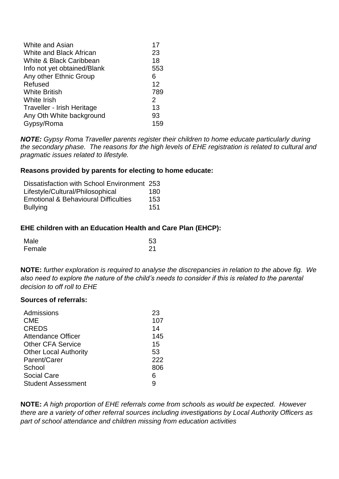| White and Asian             | 17  |
|-----------------------------|-----|
| White and Black African     | 23  |
| White & Black Caribbean     | 18  |
| Info not yet obtained/Blank | 553 |
| Any other Ethnic Group      | 6   |
| Refused                     | 12  |
| <b>White British</b>        | 789 |
| <b>White Irish</b>          | 2   |
| Traveller - Irish Heritage  | 13  |
| Any Oth White background    | 93  |
| Gypsy/Roma                  | 159 |

*NOTE: Gypsy Roma Traveller parents register their children to home educate particularly during the secondary phase. The reasons for the high levels of EHE registration is related to cultural and pragmatic issues related to lifestyle.* 

#### **Reasons provided by parents for electing to home educate:**

| Dissatisfaction with School Environment 253     |      |
|-------------------------------------------------|------|
| Lifestyle/Cultural/Philosophical                | 180. |
| <b>Emotional &amp; Behavioural Difficulties</b> | 153  |
| <b>Bullying</b>                                 | 151  |

#### **EHE children with an Education Health and Care Plan (EHCP):**

| Male   | 53 |
|--------|----|
| Female | 21 |

**NOTE:** *further exploration is required to analyse the discrepancies in relation to the above fig. We also need to explore the nature of the child's needs to consider if this is related to the parental decision to off roll to EHE*

#### **Sources of referrals:**

| Admissions                   | 23  |
|------------------------------|-----|
| <b>CME</b>                   | 107 |
| <b>CREDS</b>                 | 14  |
| <b>Attendance Officer</b>    | 145 |
| <b>Other CFA Service</b>     | 15  |
| <b>Other Local Authority</b> | 53  |
| Parent/Carer                 | 222 |
| School                       | 806 |
| <b>Social Care</b>           | 6   |
| <b>Student Assessment</b>    | g   |
|                              |     |

**NOTE:** *A high proportion of EHE referrals come from schools as would be expected. However there are a variety of other referral sources including investigations by Local Authority Officers as part of school attendance and children missing from education activities*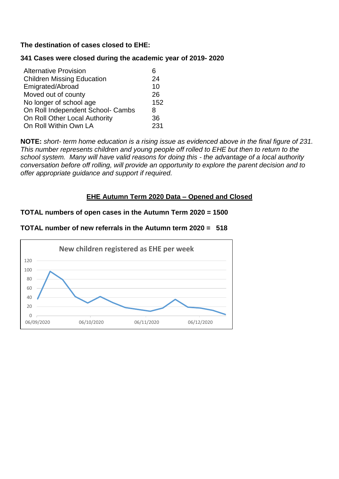## **The destination of cases closed to EHE:**

## **341 Cases were closed during the academic year of 2019- 2020**

| <b>Alternative Provision</b>      | 6   |
|-----------------------------------|-----|
| <b>Children Missing Education</b> | 24  |
| Emigrated/Abroad                  | 10  |
| Moved out of county               | 26  |
| No longer of school age           | 152 |
| On Roll Independent School- Cambs | 8   |
| On Roll Other Local Authority     | 36  |
| On Roll Within Own LA             | 231 |

**NOTE:** *short- term home education is a rising issue as evidenced above in the final figure of 231. This number represents children and young people off rolled to EHE but then to return to the school system. Many will have valid reasons for doing this - the advantage of a local authority conversation before off rolling, will provide an opportunity to explore the parent decision and to offer appropriate guidance and support if required.*

## **EHE Autumn Term 2020 Data – Opened and Closed**

## **TOTAL numbers of open cases in the Autumn Term 2020 = 1500**

## **TOTAL number of new referrals in the Autumn term 2020 = 518**

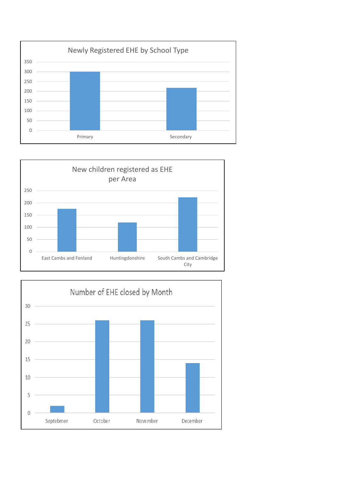